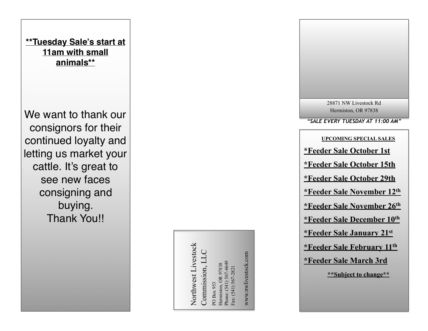

Northwest Livestock Northwest Livestock Commission, LLC Commission, LLC

Phone: (541) 567-6649 Phone: (541) 567-6649 Hermiston, OR 97838 Hermiston, OR 97838 Fax: (541) 567-2821 Fax: (541) 567-2821 PO Box 953 PO Box 953

www.nwlivestock.com www.nwlivestock.com

*"SALE EVERY TUESDAY AT 11:00 AM"* 28871 NW Livestock Rd Hermiston, OR 97838 **UPCOMING SPECIAL SALES \*Feeder Sale October 1st \*Feeder Sale October 15th \*Feeder Sale October 29th \*Feeder Sale November 12th \*Feeder Sale November 26th \*Feeder Sale December 10th \*Feeder Sale January 21st \*Feeder Sale February 11th \*Feeder Sale March 3rd \*\*Subject to change\*\***